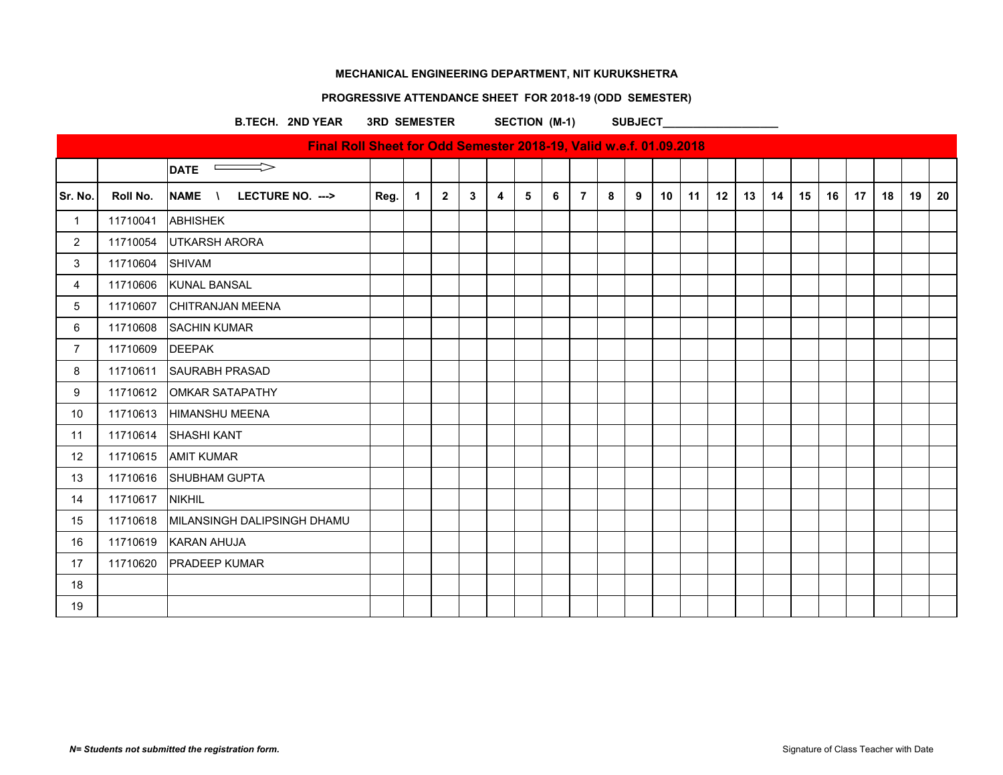# **PROGRESSIVE ATTENDANCE SHEET FOR 2018-19 (ODD SEMESTER)**

B.TECH. 2ND YEAR 3RD SEMESTER SECTION (M-1) SUBJECT\_

|                |                 | Final Roll Sheet for Odd Semester 2018-19, Valid w.e.f. 01.09.2018 |      |                |              |   |   |   |   |                |   |   |    |    |    |    |    |    |    |    |    |    |    |
|----------------|-----------------|--------------------------------------------------------------------|------|----------------|--------------|---|---|---|---|----------------|---|---|----|----|----|----|----|----|----|----|----|----|----|
|                |                 | $\implies$<br><b>DATE</b>                                          |      |                |              |   |   |   |   |                |   |   |    |    |    |    |    |    |    |    |    |    |    |
| Sr. No.        | Roll No.        | <b>NAME</b><br>LECTURE NO. ---><br>$\mathcal{N}$                   | Reg. | $\overline{1}$ | $\mathbf{2}$ | 3 | 4 | 5 | 6 | $\overline{7}$ | 8 | 9 | 10 | 11 | 12 | 13 | 14 | 15 | 16 | 17 | 18 | 19 | 20 |
| $\overline{1}$ | 11710041        | ABHISHEK                                                           |      |                |              |   |   |   |   |                |   |   |    |    |    |    |    |    |    |    |    |    |    |
| $\overline{2}$ | 11710054        | UTKARSH ARORA                                                      |      |                |              |   |   |   |   |                |   |   |    |    |    |    |    |    |    |    |    |    |    |
| 3              | 11710604 SHIVAM |                                                                    |      |                |              |   |   |   |   |                |   |   |    |    |    |    |    |    |    |    |    |    |    |
| 4              | 11710606        | <b>KUNAL BANSAL</b>                                                |      |                |              |   |   |   |   |                |   |   |    |    |    |    |    |    |    |    |    |    |    |
| 5              | 11710607        | <b>CHITRANJAN MEENA</b>                                            |      |                |              |   |   |   |   |                |   |   |    |    |    |    |    |    |    |    |    |    |    |
| 6              | 11710608        | <b>SACHIN KUMAR</b>                                                |      |                |              |   |   |   |   |                |   |   |    |    |    |    |    |    |    |    |    |    |    |
| $\overline{7}$ | 11710609        | <b>DEEPAK</b>                                                      |      |                |              |   |   |   |   |                |   |   |    |    |    |    |    |    |    |    |    |    |    |
| 8              | 11710611        | <b>SAURABH PRASAD</b>                                              |      |                |              |   |   |   |   |                |   |   |    |    |    |    |    |    |    |    |    |    |    |
| 9              |                 | 11710612 OMKAR SATAPATHY                                           |      |                |              |   |   |   |   |                |   |   |    |    |    |    |    |    |    |    |    |    |    |
| 10             | 11710613        | HIMANSHU MEENA                                                     |      |                |              |   |   |   |   |                |   |   |    |    |    |    |    |    |    |    |    |    |    |
| 11             | 11710614        | <b>SHASHI KANT</b>                                                 |      |                |              |   |   |   |   |                |   |   |    |    |    |    |    |    |    |    |    |    |    |
| 12             | 11710615        | <b>AMIT KUMAR</b>                                                  |      |                |              |   |   |   |   |                |   |   |    |    |    |    |    |    |    |    |    |    |    |
| 13             |                 | 11710616 SHUBHAM GUPTA                                             |      |                |              |   |   |   |   |                |   |   |    |    |    |    |    |    |    |    |    |    |    |
| 14             | 11710617        | <b>NIKHIL</b>                                                      |      |                |              |   |   |   |   |                |   |   |    |    |    |    |    |    |    |    |    |    |    |
| 15             | 11710618        | MILANSINGH DALIPSINGH DHAMU                                        |      |                |              |   |   |   |   |                |   |   |    |    |    |    |    |    |    |    |    |    |    |
| 16             | 11710619        | KARAN AHUJA                                                        |      |                |              |   |   |   |   |                |   |   |    |    |    |    |    |    |    |    |    |    |    |
| 17             | 11710620        | <b>PRADEEP KUMAR</b>                                               |      |                |              |   |   |   |   |                |   |   |    |    |    |    |    |    |    |    |    |    |    |
| 18             |                 |                                                                    |      |                |              |   |   |   |   |                |   |   |    |    |    |    |    |    |    |    |    |    |    |
| 19             |                 |                                                                    |      |                |              |   |   |   |   |                |   |   |    |    |    |    |    |    |    |    |    |    |    |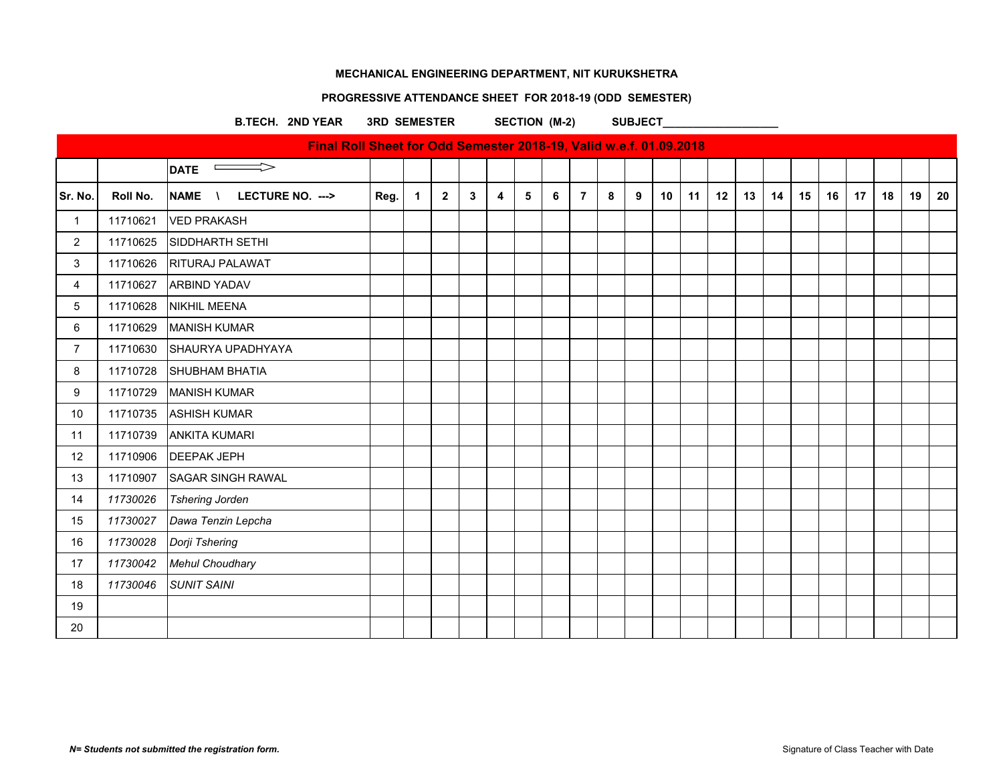# **PROGRESSIVE ATTENDANCE SHEET FOR 2018-19 (ODD SEMESTER)**

### B.TECH. 2ND YEAR 3RD SEMESTER SECTION (M-2) SUBJECT

|                |          | Final Roll Sheet for Odd Semester 2018-19, Valid w.e.f. 01.09.2018 |      |             |                |              |                         |   |   |                |   |   |                 |    |    |    |    |    |    |    |    |    |    |
|----------------|----------|--------------------------------------------------------------------|------|-------------|----------------|--------------|-------------------------|---|---|----------------|---|---|-----------------|----|----|----|----|----|----|----|----|----|----|
|                |          | $\overline{\phantom{0}}$ DATE                                      |      |             |                |              |                         |   |   |                |   |   |                 |    |    |    |    |    |    |    |    |    |    |
| Sr. No.        | Roll No. | <b>NAME</b><br>LECTURE NO. --->                                    | Reg. | $\mathbf 1$ | $\overline{2}$ | $\mathbf{3}$ | $\overline{\mathbf{4}}$ | 5 | 6 | $\overline{7}$ | 8 | 9 | 10 <sup>°</sup> | 11 | 12 | 13 | 14 | 15 | 16 | 17 | 18 | 19 | 20 |
| $\mathbf{1}$   | 11710621 | <b>VED PRAKASH</b>                                                 |      |             |                |              |                         |   |   |                |   |   |                 |    |    |    |    |    |    |    |    |    |    |
| $\overline{2}$ | 11710625 | SIDDHARTH SETHI                                                    |      |             |                |              |                         |   |   |                |   |   |                 |    |    |    |    |    |    |    |    |    |    |
| $\mathbf{3}$   | 11710626 | <b>RITURAJ PALAWAT</b>                                             |      |             |                |              |                         |   |   |                |   |   |                 |    |    |    |    |    |    |    |    |    |    |
| 4              | 11710627 | <b>ARBIND YADAV</b>                                                |      |             |                |              |                         |   |   |                |   |   |                 |    |    |    |    |    |    |    |    |    |    |
| $5\,$          | 11710628 | NIKHIL MEENA                                                       |      |             |                |              |                         |   |   |                |   |   |                 |    |    |    |    |    |    |    |    |    |    |
| 6              | 11710629 | <b>MANISH KUMAR</b>                                                |      |             |                |              |                         |   |   |                |   |   |                 |    |    |    |    |    |    |    |    |    |    |
| $\overline{7}$ | 11710630 | SHAURYA UPADHYAYA                                                  |      |             |                |              |                         |   |   |                |   |   |                 |    |    |    |    |    |    |    |    |    |    |
| 8              | 11710728 | <b>SHUBHAM BHATIA</b>                                              |      |             |                |              |                         |   |   |                |   |   |                 |    |    |    |    |    |    |    |    |    |    |
| 9              | 11710729 | <b>MANISH KUMAR</b>                                                |      |             |                |              |                         |   |   |                |   |   |                 |    |    |    |    |    |    |    |    |    |    |
| 10             | 11710735 | <b>ASHISH KUMAR</b>                                                |      |             |                |              |                         |   |   |                |   |   |                 |    |    |    |    |    |    |    |    |    |    |
| 11             | 11710739 | <b>ANKITA KUMARI</b>                                               |      |             |                |              |                         |   |   |                |   |   |                 |    |    |    |    |    |    |    |    |    |    |
| 12             | 11710906 | <b>DEEPAK JEPH</b>                                                 |      |             |                |              |                         |   |   |                |   |   |                 |    |    |    |    |    |    |    |    |    |    |
| 13             | 11710907 | <b>SAGAR SINGH RAWAL</b>                                           |      |             |                |              |                         |   |   |                |   |   |                 |    |    |    |    |    |    |    |    |    |    |
| 14             | 11730026 | <b>Tshering Jorden</b>                                             |      |             |                |              |                         |   |   |                |   |   |                 |    |    |    |    |    |    |    |    |    |    |
| 15             | 11730027 | Dawa Tenzin Lepcha                                                 |      |             |                |              |                         |   |   |                |   |   |                 |    |    |    |    |    |    |    |    |    |    |
| 16             | 11730028 | Dorji Tshering                                                     |      |             |                |              |                         |   |   |                |   |   |                 |    |    |    |    |    |    |    |    |    |    |
| 17             | 11730042 | <b>Mehul Choudhary</b>                                             |      |             |                |              |                         |   |   |                |   |   |                 |    |    |    |    |    |    |    |    |    |    |
| 18             | 11730046 | <b>SUNIT SAINI</b>                                                 |      |             |                |              |                         |   |   |                |   |   |                 |    |    |    |    |    |    |    |    |    |    |
| 19             |          |                                                                    |      |             |                |              |                         |   |   |                |   |   |                 |    |    |    |    |    |    |    |    |    |    |
| 20             |          |                                                                    |      |             |                |              |                         |   |   |                |   |   |                 |    |    |    |    |    |    |    |    |    |    |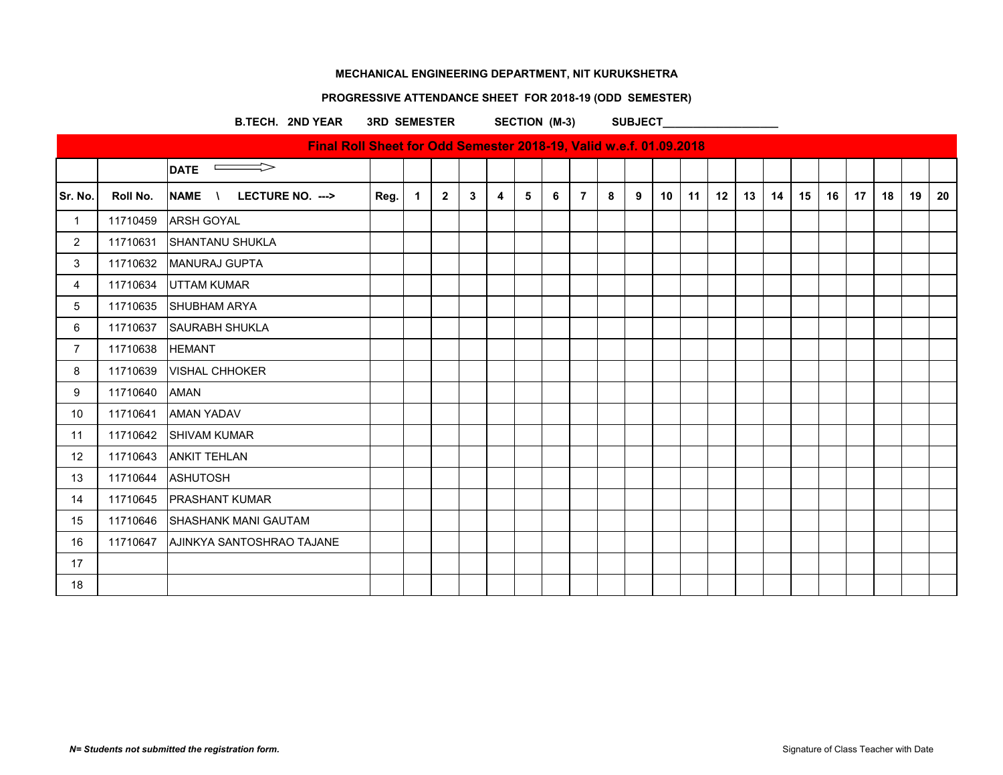# **PROGRESSIVE ATTENDANCE SHEET FOR 2018-19 (ODD SEMESTER)**

B.TECH. 2ND YEAR 3RD SEMESTER SECTION (M-3) SUBJECT\_

|                |          | Final Roll Sheet for Odd Semester 2018-19, Valid w.e.f. 01.09.2018 |      |                         |                |   |                         |   |   |                |   |   |    |    |    |    |    |    |    |    |    |    |    |
|----------------|----------|--------------------------------------------------------------------|------|-------------------------|----------------|---|-------------------------|---|---|----------------|---|---|----|----|----|----|----|----|----|----|----|----|----|
|                |          | $\qquad \qquad \Longrightarrow$<br><b>DATE</b>                     |      |                         |                |   |                         |   |   |                |   |   |    |    |    |    |    |    |    |    |    |    |    |
| Sr. No.        | Roll No. | <b>NAME</b><br>LECTURE NO. ---><br>$\mathcal{N}$                   | Reg. | $\overline{\mathbf{1}}$ | $\overline{2}$ | 3 | $\overline{\mathbf{4}}$ | 5 | 6 | $\overline{7}$ | 8 | 9 | 10 | 11 | 12 | 13 | 14 | 15 | 16 | 17 | 18 | 19 | 20 |
| $\overline{1}$ | 11710459 | <b>ARSH GOYAL</b>                                                  |      |                         |                |   |                         |   |   |                |   |   |    |    |    |    |    |    |    |    |    |    |    |
| $\overline{2}$ | 11710631 | SHANTANU SHUKLA                                                    |      |                         |                |   |                         |   |   |                |   |   |    |    |    |    |    |    |    |    |    |    |    |
| 3              |          | 11710632   MANURAJ GUPTA                                           |      |                         |                |   |                         |   |   |                |   |   |    |    |    |    |    |    |    |    |    |    |    |
| $\overline{4}$ | 11710634 | <b>UTTAM KUMAR</b>                                                 |      |                         |                |   |                         |   |   |                |   |   |    |    |    |    |    |    |    |    |    |    |    |
| 5              | 11710635 | SHUBHAM ARYA                                                       |      |                         |                |   |                         |   |   |                |   |   |    |    |    |    |    |    |    |    |    |    |    |
| 6              | 11710637 | <b>SAURABH SHUKLA</b>                                              |      |                         |                |   |                         |   |   |                |   |   |    |    |    |    |    |    |    |    |    |    |    |
| $\overline{7}$ | 11710638 | <b>HEMANT</b>                                                      |      |                         |                |   |                         |   |   |                |   |   |    |    |    |    |    |    |    |    |    |    |    |
| 8              | 11710639 | <b>VISHAL CHHOKER</b>                                              |      |                         |                |   |                         |   |   |                |   |   |    |    |    |    |    |    |    |    |    |    |    |
| 9              | 11710640 | <b>AMAN</b>                                                        |      |                         |                |   |                         |   |   |                |   |   |    |    |    |    |    |    |    |    |    |    |    |
| 10             | 11710641 | <b>AMAN YADAV</b>                                                  |      |                         |                |   |                         |   |   |                |   |   |    |    |    |    |    |    |    |    |    |    |    |
| 11             | 11710642 | <b>SHIVAM KUMAR</b>                                                |      |                         |                |   |                         |   |   |                |   |   |    |    |    |    |    |    |    |    |    |    |    |
| 12             | 11710643 | <b>ANKIT TEHLAN</b>                                                |      |                         |                |   |                         |   |   |                |   |   |    |    |    |    |    |    |    |    |    |    |    |
| 13             | 11710644 | <b>ASHUTOSH</b>                                                    |      |                         |                |   |                         |   |   |                |   |   |    |    |    |    |    |    |    |    |    |    |    |
| 14             | 11710645 | <b>PRASHANT KUMAR</b>                                              |      |                         |                |   |                         |   |   |                |   |   |    |    |    |    |    |    |    |    |    |    |    |
| 15             | 11710646 | <b>ISHASHANK MANI GAUTAM</b>                                       |      |                         |                |   |                         |   |   |                |   |   |    |    |    |    |    |    |    |    |    |    |    |
| 16             | 11710647 | AJINKYA SANTOSHRAO TAJANE                                          |      |                         |                |   |                         |   |   |                |   |   |    |    |    |    |    |    |    |    |    |    |    |
| 17             |          |                                                                    |      |                         |                |   |                         |   |   |                |   |   |    |    |    |    |    |    |    |    |    |    |    |
| 18             |          |                                                                    |      |                         |                |   |                         |   |   |                |   |   |    |    |    |    |    |    |    |    |    |    |    |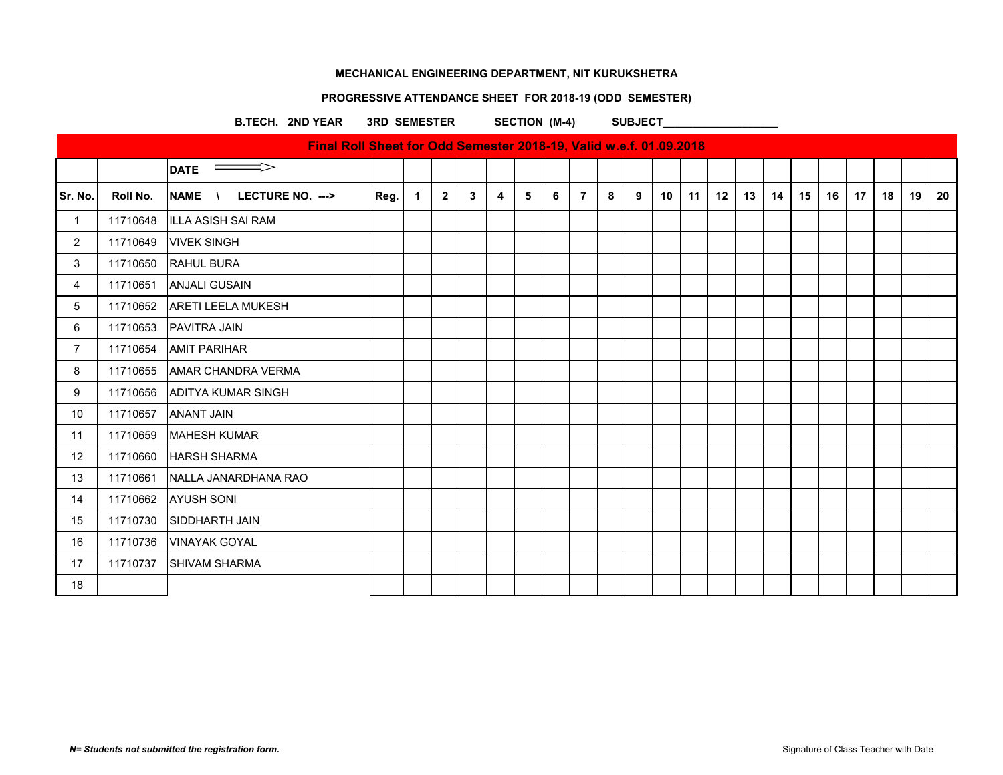# **PROGRESSIVE ATTENDANCE SHEET FOR 2018-19 (ODD SEMESTER)**

### B.TECH. 2ND YEAR 3RD SEMESTER SECTION (M-4) SUBJECT

|                |          | Final Roll Sheet for Odd Semester 2018-19, Valid w.e.f. 01.09.2018 |      |                      |                |              |   |   |   |                |   |   |    |    |    |    |    |    |    |                 |    |    |    |
|----------------|----------|--------------------------------------------------------------------|------|----------------------|----------------|--------------|---|---|---|----------------|---|---|----|----|----|----|----|----|----|-----------------|----|----|----|
|                |          | $\implies$<br><b>DATE</b>                                          |      |                      |                |              |   |   |   |                |   |   |    |    |    |    |    |    |    |                 |    |    |    |
| Sr. No.        | Roll No. | <b>NAME</b><br>LECTURE NO. ---><br>$\lambda$                       | Reg. | $\blacktriangleleft$ | $\overline{2}$ | $\mathbf{3}$ | 4 | 5 | 6 | $\overline{7}$ | 8 | 9 | 10 | 11 | 12 | 13 | 14 | 15 | 16 | 17 <sup>2</sup> | 18 | 19 | 20 |
| $\overline{1}$ | 11710648 | <b>ILLA ASISH SAI RAM</b>                                          |      |                      |                |              |   |   |   |                |   |   |    |    |    |    |    |    |    |                 |    |    |    |
| 2              | 11710649 | <b>VIVEK SINGH</b>                                                 |      |                      |                |              |   |   |   |                |   |   |    |    |    |    |    |    |    |                 |    |    |    |
| 3              | 11710650 | <b>RAHUL BURA</b>                                                  |      |                      |                |              |   |   |   |                |   |   |    |    |    |    |    |    |    |                 |    |    |    |
| $\overline{4}$ | 11710651 | <b>ANJALI GUSAIN</b>                                               |      |                      |                |              |   |   |   |                |   |   |    |    |    |    |    |    |    |                 |    |    |    |
| 5              | 11710652 | <b>ARETI LEELA MUKESH</b>                                          |      |                      |                |              |   |   |   |                |   |   |    |    |    |    |    |    |    |                 |    |    |    |
| 6              | 11710653 | <b>PAVITRA JAIN</b>                                                |      |                      |                |              |   |   |   |                |   |   |    |    |    |    |    |    |    |                 |    |    |    |
| $\overline{7}$ | 11710654 | <b>AMIT PARIHAR</b>                                                |      |                      |                |              |   |   |   |                |   |   |    |    |    |    |    |    |    |                 |    |    |    |
| 8              | 11710655 | <b>AMAR CHANDRA VERMA</b>                                          |      |                      |                |              |   |   |   |                |   |   |    |    |    |    |    |    |    |                 |    |    |    |
| 9              | 11710656 | <b>ADITYA KUMAR SINGH</b>                                          |      |                      |                |              |   |   |   |                |   |   |    |    |    |    |    |    |    |                 |    |    |    |
| 10             | 11710657 | <b>ANANT JAIN</b>                                                  |      |                      |                |              |   |   |   |                |   |   |    |    |    |    |    |    |    |                 |    |    |    |
| 11             | 11710659 | IMAHESH KUMAR                                                      |      |                      |                |              |   |   |   |                |   |   |    |    |    |    |    |    |    |                 |    |    |    |
| 12             | 11710660 | <b>HARSH SHARMA</b>                                                |      |                      |                |              |   |   |   |                |   |   |    |    |    |    |    |    |    |                 |    |    |    |
| 13             | 11710661 | NALLA JANARDHANA RAO                                               |      |                      |                |              |   |   |   |                |   |   |    |    |    |    |    |    |    |                 |    |    |    |
| 14             | 11710662 | <b>AYUSH SONI</b>                                                  |      |                      |                |              |   |   |   |                |   |   |    |    |    |    |    |    |    |                 |    |    |    |
| 15             | 11710730 | SIDDHARTH JAIN                                                     |      |                      |                |              |   |   |   |                |   |   |    |    |    |    |    |    |    |                 |    |    |    |
| 16             | 11710736 | <b>VINAYAK GOYAL</b>                                               |      |                      |                |              |   |   |   |                |   |   |    |    |    |    |    |    |    |                 |    |    |    |
| 17             | 11710737 | <b>SHIVAM SHARMA</b>                                               |      |                      |                |              |   |   |   |                |   |   |    |    |    |    |    |    |    |                 |    |    |    |
| 18             |          |                                                                    |      |                      |                |              |   |   |   |                |   |   |    |    |    |    |    |    |    |                 |    |    |    |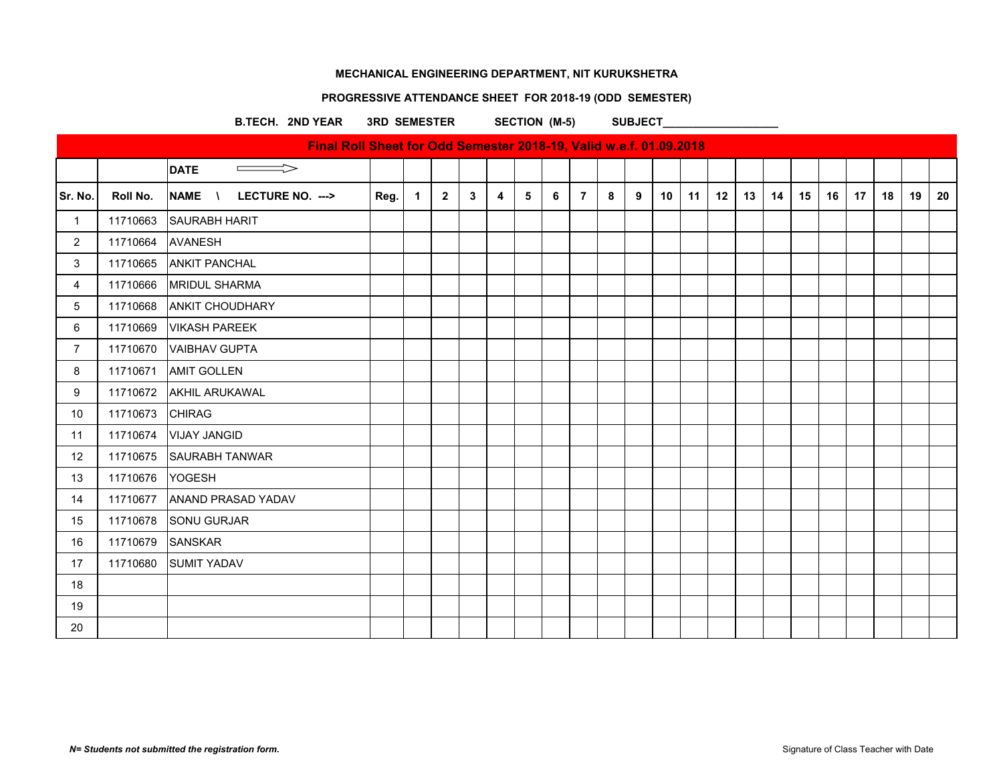# **PROGRESSIVE ATTENDANCE SHEET FOR 2018-19 (ODD SEMESTER)**

B.TECH. 2ND YEAR 3RD SEMESTER SECTION (M-5) SUBJECT

|                           |          | Final Roll Sheet for Odd Semester 2018-19, Valid w.e.f. 01.09.2018 |      |                |                |              |                         |   |   |                |   |   |    |    |    |    |    |    |    |    |    |    |    |
|---------------------------|----------|--------------------------------------------------------------------|------|----------------|----------------|--------------|-------------------------|---|---|----------------|---|---|----|----|----|----|----|----|----|----|----|----|----|
|                           |          | $\implies$<br><b>DATE</b>                                          |      |                |                |              |                         |   |   |                |   |   |    |    |    |    |    |    |    |    |    |    |    |
| Sr. No.                   | Roll No. | <b>NAME</b><br>LECTURE NO. ---><br>$\lambda$                       | Reg. | $\overline{1}$ | $\overline{2}$ | $\mathbf{3}$ | $\overline{\mathbf{4}}$ | 5 | 6 | $\overline{7}$ | 8 | 9 | 10 | 11 | 12 | 13 | 14 | 15 | 16 | 17 | 18 | 19 | 20 |
| $\overline{1}$            | 11710663 | <b>SAURABH HARIT</b>                                               |      |                |                |              |                         |   |   |                |   |   |    |    |    |    |    |    |    |    |    |    |    |
| $\overline{2}$            | 11710664 | AVANESH                                                            |      |                |                |              |                         |   |   |                |   |   |    |    |    |    |    |    |    |    |    |    |    |
| $\ensuremath{\mathsf{3}}$ | 11710665 | <b>ANKIT PANCHAL</b>                                               |      |                |                |              |                         |   |   |                |   |   |    |    |    |    |    |    |    |    |    |    |    |
| $\overline{\mathbf{4}}$   | 11710666 | <b>MRIDUL SHARMA</b>                                               |      |                |                |              |                         |   |   |                |   |   |    |    |    |    |    |    |    |    |    |    |    |
| 5                         | 11710668 | <b>ANKIT CHOUDHARY</b>                                             |      |                |                |              |                         |   |   |                |   |   |    |    |    |    |    |    |    |    |    |    |    |
| $\,6\,$                   | 11710669 | <b>VIKASH PAREEK</b>                                               |      |                |                |              |                         |   |   |                |   |   |    |    |    |    |    |    |    |    |    |    |    |
| $\overline{7}$            | 11710670 | <b>VAIBHAV GUPTA</b>                                               |      |                |                |              |                         |   |   |                |   |   |    |    |    |    |    |    |    |    |    |    |    |
| 8                         | 11710671 | <b>AMIT GOLLEN</b>                                                 |      |                |                |              |                         |   |   |                |   |   |    |    |    |    |    |    |    |    |    |    |    |
| 9                         | 11710672 | AKHIL ARUKAWAL                                                     |      |                |                |              |                         |   |   |                |   |   |    |    |    |    |    |    |    |    |    |    |    |
| $10$                      | 11710673 | <b>CHIRAG</b>                                                      |      |                |                |              |                         |   |   |                |   |   |    |    |    |    |    |    |    |    |    |    |    |
| 11                        | 11710674 | <b>VIJAY JANGID</b>                                                |      |                |                |              |                         |   |   |                |   |   |    |    |    |    |    |    |    |    |    |    |    |
| 12                        | 11710675 | <b>SAURABH TANWAR</b>                                              |      |                |                |              |                         |   |   |                |   |   |    |    |    |    |    |    |    |    |    |    |    |
| 13                        | 11710676 | YOGESH                                                             |      |                |                |              |                         |   |   |                |   |   |    |    |    |    |    |    |    |    |    |    |    |
| 14                        | 11710677 | ANAND PRASAD YADAV                                                 |      |                |                |              |                         |   |   |                |   |   |    |    |    |    |    |    |    |    |    |    |    |
| 15                        | 11710678 | SONU GURJAR                                                        |      |                |                |              |                         |   |   |                |   |   |    |    |    |    |    |    |    |    |    |    |    |
| 16                        | 11710679 | SANSKAR                                                            |      |                |                |              |                         |   |   |                |   |   |    |    |    |    |    |    |    |    |    |    |    |
| 17                        | 11710680 | <b>SUMIT YADAV</b>                                                 |      |                |                |              |                         |   |   |                |   |   |    |    |    |    |    |    |    |    |    |    |    |
| 18                        |          |                                                                    |      |                |                |              |                         |   |   |                |   |   |    |    |    |    |    |    |    |    |    |    |    |
| 19                        |          |                                                                    |      |                |                |              |                         |   |   |                |   |   |    |    |    |    |    |    |    |    |    |    |    |
| 20                        |          |                                                                    |      |                |                |              |                         |   |   |                |   |   |    |    |    |    |    |    |    |    |    |    |    |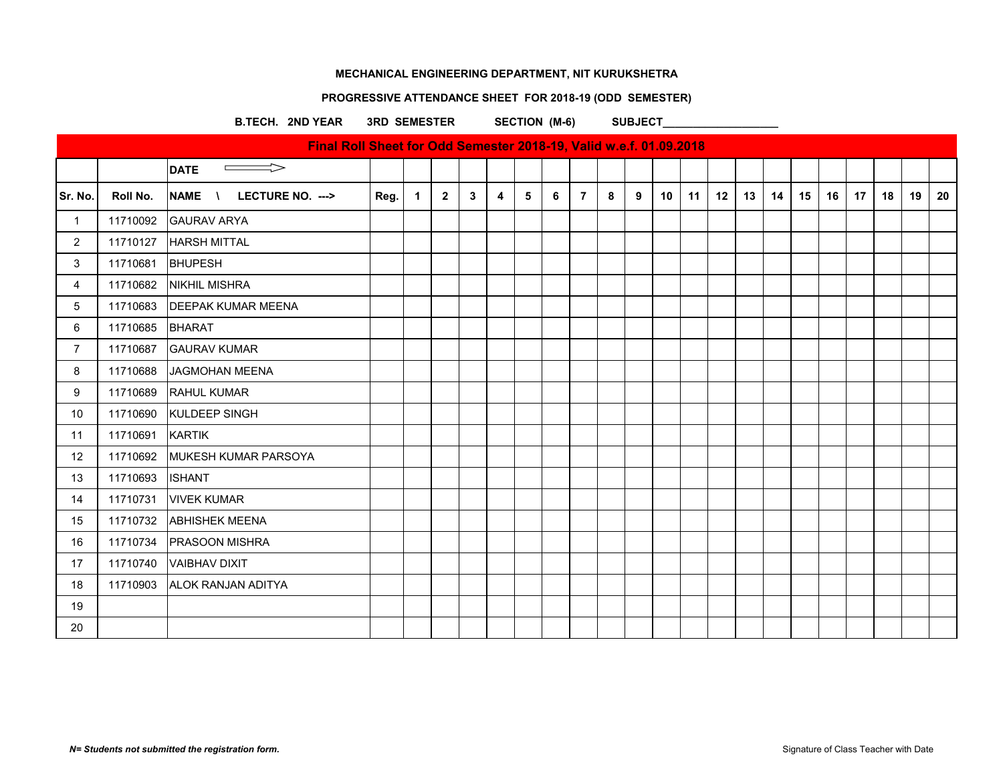# **PROGRESSIVE ATTENDANCE SHEET FOR 2018-19 (ODD SEMESTER)**

B.TECH. 2ND YEAR 3RD SEMESTER SECTION (M-6) SUBJECT

|                |          | Final Roll Sheet for Odd Semester 2018-19, Valid w.e.f. 01.09.2018 |      |                      |              |   |                         |   |   |                |   |   |    |    |    |    |    |    |    |    |    |    |    |
|----------------|----------|--------------------------------------------------------------------|------|----------------------|--------------|---|-------------------------|---|---|----------------|---|---|----|----|----|----|----|----|----|----|----|----|----|
|                |          | $\Rightarrow$<br><b>DATE</b><br>$\equiv$                           |      |                      |              |   |                         |   |   |                |   |   |    |    |    |    |    |    |    |    |    |    |    |
| Sr. No.        | Roll No. | <b>NAME</b><br>LECTURE NO. ---><br>$\lambda$                       | Reg. | $\blacktriangleleft$ | $\mathbf{2}$ | 3 | $\overline{\mathbf{4}}$ | 5 | 6 | $\overline{7}$ | 8 | 9 | 10 | 11 | 12 | 13 | 14 | 15 | 16 | 17 | 18 | 19 | 20 |
| $\mathbf{1}$   | 11710092 | <b>GAURAV ARYA</b>                                                 |      |                      |              |   |                         |   |   |                |   |   |    |    |    |    |    |    |    |    |    |    |    |
| $\overline{2}$ | 11710127 | <b>HARSH MITTAL</b>                                                |      |                      |              |   |                         |   |   |                |   |   |    |    |    |    |    |    |    |    |    |    |    |
| 3              | 11710681 | <b>BHUPESH</b>                                                     |      |                      |              |   |                         |   |   |                |   |   |    |    |    |    |    |    |    |    |    |    |    |
| 4              | 11710682 | NIKHIL MISHRA                                                      |      |                      |              |   |                         |   |   |                |   |   |    |    |    |    |    |    |    |    |    |    |    |
| 5              | 11710683 | <b>DEEPAK KUMAR MEENA</b>                                          |      |                      |              |   |                         |   |   |                |   |   |    |    |    |    |    |    |    |    |    |    |    |
| 6              | 11710685 | <b>BHARAT</b>                                                      |      |                      |              |   |                         |   |   |                |   |   |    |    |    |    |    |    |    |    |    |    |    |
| $\overline{7}$ | 11710687 | <b>GAURAV KUMAR</b>                                                |      |                      |              |   |                         |   |   |                |   |   |    |    |    |    |    |    |    |    |    |    |    |
| 8              | 11710688 | JAGMOHAN MEENA                                                     |      |                      |              |   |                         |   |   |                |   |   |    |    |    |    |    |    |    |    |    |    |    |
| 9              | 11710689 | <b>RAHUL KUMAR</b>                                                 |      |                      |              |   |                         |   |   |                |   |   |    |    |    |    |    |    |    |    |    |    |    |
| 10             | 11710690 | KULDEEP SINGH                                                      |      |                      |              |   |                         |   |   |                |   |   |    |    |    |    |    |    |    |    |    |    |    |
| 11             | 11710691 | <b>KARTIK</b>                                                      |      |                      |              |   |                         |   |   |                |   |   |    |    |    |    |    |    |    |    |    |    |    |
| 12             | 11710692 | MUKESH KUMAR PARSOYA                                               |      |                      |              |   |                         |   |   |                |   |   |    |    |    |    |    |    |    |    |    |    |    |
| 13             | 11710693 | <b>ISHANT</b>                                                      |      |                      |              |   |                         |   |   |                |   |   |    |    |    |    |    |    |    |    |    |    |    |
| 14             | 11710731 | <b>VIVEK KUMAR</b>                                                 |      |                      |              |   |                         |   |   |                |   |   |    |    |    |    |    |    |    |    |    |    |    |
| 15             | 11710732 | <b>ABHISHEK MEENA</b>                                              |      |                      |              |   |                         |   |   |                |   |   |    |    |    |    |    |    |    |    |    |    |    |
| 16             | 11710734 | <b>PRASOON MISHRA</b>                                              |      |                      |              |   |                         |   |   |                |   |   |    |    |    |    |    |    |    |    |    |    |    |
| 17             | 11710740 | <b>VAIBHAV DIXIT</b>                                               |      |                      |              |   |                         |   |   |                |   |   |    |    |    |    |    |    |    |    |    |    |    |
| 18             | 11710903 | <b>ALOK RANJAN ADITYA</b>                                          |      |                      |              |   |                         |   |   |                |   |   |    |    |    |    |    |    |    |    |    |    |    |
| 19             |          |                                                                    |      |                      |              |   |                         |   |   |                |   |   |    |    |    |    |    |    |    |    |    |    |    |
| 20             |          |                                                                    |      |                      |              |   |                         |   |   |                |   |   |    |    |    |    |    |    |    |    |    |    |    |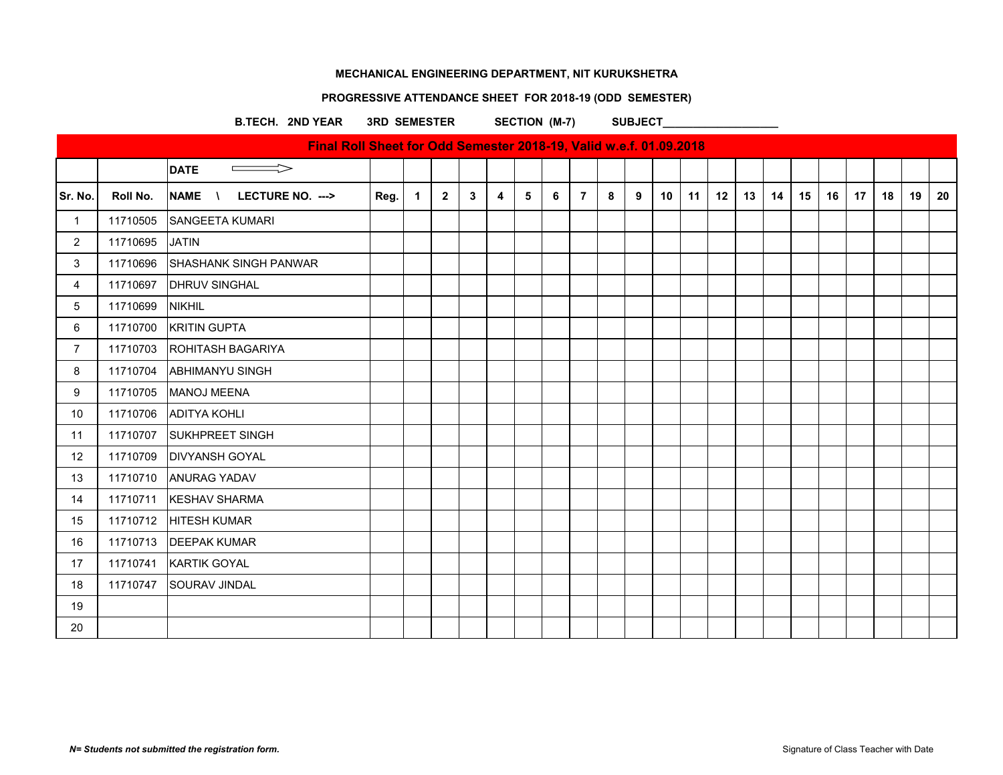# **PROGRESSIVE ATTENDANCE SHEET FOR 2018-19 (ODD SEMESTER)**

B.TECH. 2ND YEAR 3RD SEMESTER SECTION (M-7) SUBJECT

|                |          | Final Roll Sheet for Odd Semester 2018-19, Valid w.e.f. 01.09.2018 |      |                |                |              |                         |   |   |                |   |   |    |    |    |    |    |    |                 |    |    |    |    |
|----------------|----------|--------------------------------------------------------------------|------|----------------|----------------|--------------|-------------------------|---|---|----------------|---|---|----|----|----|----|----|----|-----------------|----|----|----|----|
|                |          | <b>DATE</b><br>$\Rightarrow$                                       |      |                |                |              |                         |   |   |                |   |   |    |    |    |    |    |    |                 |    |    |    |    |
| Sr. No.        | Roll No. | <b>NAME</b><br>LECTURE NO. ---><br>$\lambda$                       | Reg. | $\overline{1}$ | $\overline{2}$ | $\mathbf{3}$ | $\overline{\mathbf{4}}$ | 5 | 6 | $\overline{7}$ | 8 | 9 | 10 | 11 | 12 | 13 | 14 | 15 | 16 <sup>1</sup> | 17 | 18 | 19 | 20 |
| $\mathbf{1}$   | 11710505 | SANGEETA KUMARI                                                    |      |                |                |              |                         |   |   |                |   |   |    |    |    |    |    |    |                 |    |    |    |    |
| $\overline{2}$ | 11710695 | <b>JATIN</b>                                                       |      |                |                |              |                         |   |   |                |   |   |    |    |    |    |    |    |                 |    |    |    |    |
| 3              | 11710696 | <b>SHASHANK SINGH PANWAR</b>                                       |      |                |                |              |                         |   |   |                |   |   |    |    |    |    |    |    |                 |    |    |    |    |
| 4              | 11710697 | <b>DHRUV SINGHAL</b>                                               |      |                |                |              |                         |   |   |                |   |   |    |    |    |    |    |    |                 |    |    |    |    |
| $\,$ 5 $\,$    | 11710699 | <b>NIKHIL</b>                                                      |      |                |                |              |                         |   |   |                |   |   |    |    |    |    |    |    |                 |    |    |    |    |
| 6              | 11710700 | <b>KRITIN GUPTA</b>                                                |      |                |                |              |                         |   |   |                |   |   |    |    |    |    |    |    |                 |    |    |    |    |
| $\overline{7}$ | 11710703 | <b>ROHITASH BAGARIYA</b>                                           |      |                |                |              |                         |   |   |                |   |   |    |    |    |    |    |    |                 |    |    |    |    |
| 8              | 11710704 | <b>ABHIMANYU SINGH</b>                                             |      |                |                |              |                         |   |   |                |   |   |    |    |    |    |    |    |                 |    |    |    |    |
| 9              | 11710705 | MANOJ MEENA                                                        |      |                |                |              |                         |   |   |                |   |   |    |    |    |    |    |    |                 |    |    |    |    |
| 10             | 11710706 | <b>ADITYA KOHLI</b>                                                |      |                |                |              |                         |   |   |                |   |   |    |    |    |    |    |    |                 |    |    |    |    |
| 11             | 11710707 | <b>SUKHPREET SINGH</b>                                             |      |                |                |              |                         |   |   |                |   |   |    |    |    |    |    |    |                 |    |    |    |    |
| 12             | 11710709 | <b>DIVYANSH GOYAL</b>                                              |      |                |                |              |                         |   |   |                |   |   |    |    |    |    |    |    |                 |    |    |    |    |
| 13             | 11710710 | <b>ANURAG YADAV</b>                                                |      |                |                |              |                         |   |   |                |   |   |    |    |    |    |    |    |                 |    |    |    |    |
| 14             | 11710711 | <b>KESHAV SHARMA</b>                                               |      |                |                |              |                         |   |   |                |   |   |    |    |    |    |    |    |                 |    |    |    |    |
| 15             | 11710712 | <b>HITESH KUMAR</b>                                                |      |                |                |              |                         |   |   |                |   |   |    |    |    |    |    |    |                 |    |    |    |    |
| 16             | 11710713 | <b>DEEPAK KUMAR</b>                                                |      |                |                |              |                         |   |   |                |   |   |    |    |    |    |    |    |                 |    |    |    |    |
| 17             | 11710741 | <b>KARTIK GOYAL</b>                                                |      |                |                |              |                         |   |   |                |   |   |    |    |    |    |    |    |                 |    |    |    |    |
| 18             | 11710747 | <b>SOURAV JINDAL</b>                                               |      |                |                |              |                         |   |   |                |   |   |    |    |    |    |    |    |                 |    |    |    |    |
| 19             |          |                                                                    |      |                |                |              |                         |   |   |                |   |   |    |    |    |    |    |    |                 |    |    |    |    |
| 20             |          |                                                                    |      |                |                |              |                         |   |   |                |   |   |    |    |    |    |    |    |                 |    |    |    |    |